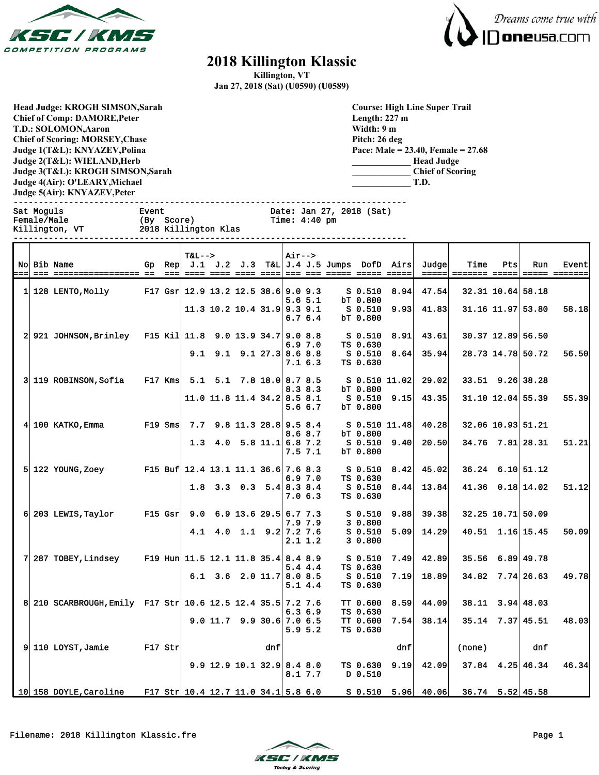



## **2018 Killington Klassic**

**Killington, VT**

**Jan 27, 2018 (Sat) (U0590) (U0589)**

**Head Judge: KROGH SIMSON,Sarah Chief of Comp: DAMORE,Peter T.D.: SOLOMON,Aaron Chief of Scoring: MORSEY,Chase Judge 1(T&L): KNYAZEV,Polina Judge 2(T&L): WIELAND,Herb Judge 3(T&L): KROGH SIMSON,Sarah Judge 4(Air): O'LEARY,Michael Judge 5(Air): KNYAZEV,Peter** 

**Course: High Line Super Trail Length: 227 m Width: 9 m Pitch: 26 deg Pace: Male = 23.40, Female = 27.68 \_\_\_\_\_\_\_\_\_\_\_\_\_ Head Judge \_\_\_\_\_\_\_\_\_\_\_\_\_ Chief of Scoring \_\_\_\_\_\_\_\_\_\_\_\_\_ T.D.**

------------------------------------------------------------------------------

Date: Jan 27, 2018 (Sat)

| Female/Male | Killington, VT         | (By Score) |        | 2018 Killington Klas                  |                                  |  | Time: $4:40$ pm |             |                                                    |                           |      |       |                   |     |                   |       |
|-------------|------------------------|------------|--------|---------------------------------------|----------------------------------|--|-----------------|-------------|----------------------------------------------------|---------------------------|------|-------|-------------------|-----|-------------------|-------|
|             | No Bib Name            |            | Gp Rep | <b>T&amp;L--&gt;</b>                  |                                  |  | $Air--$         |             | $J.1$ $J.2$ $J.3$ $T\&L/J.4$ $J.5$ Jumps DofD Airs |                           |      | Judge | <b>Time</b>       | Pts | Run               | Event |
|             | $1 128$ LENTO, Molly   |            |        | F17 Gsr $12.9$ 13.2 12.5 38.6 9.0 9.3 |                                  |  |                 | $5.6\,5.1$  |                                                    | S 0.510<br>bT 0.800       | 8.94 | 47.54 | 32.31 10.64 58.18 |     |                   |       |
|             |                        |            |        |                                       | 11.3 10.2 10.4 31.9 9.3 9.1      |  |                 | 6.76.4      |                                                    | S 0.510<br>bT 0.800       | 9.93 | 41.83 |                   |     | 31.16 11.97 53.80 | 58.18 |
|             | 2 921 JOHNSON, Brinley |            |        | F15 Kil 11.8 9.0 13.9 34.7 9.0 8.8    |                                  |  |                 | 6.97.0      |                                                    | S 0.510<br>TS 0.630       | 8.91 | 43.61 |                   |     | 30.37 12.89 56.50 |       |
|             |                        |            |        |                                       | $9.1$ $9.1$ $9.1$ $27.3$ 8.6 8.8 |  |                 | <b>7163</b> |                                                    | S 0.510<br>$ma \land c30$ | 8.64 | 35.94 |                   |     | 28.73 14.78 50.72 | 56.50 |

|  | 2 921 JOHNSON, Brinley F15 Kil 11.8 9.0 13.9 34.7 9.0 8.8   |                                     | $9.1$ $9.1$ $9.1$ $27.3$ $8.6$ $8.8$                      |     |             | 6.97.0  | TS 0.630<br>S 0.510          | $S$ 0.510 8.91<br>8.64        | 43.61<br>35.94 |                                     |                      | 30.37 12.89 56.50<br>28.73 14.78 50.72 | 56.50 |
|--|-------------------------------------------------------------|-------------------------------------|-----------------------------------------------------------|-----|-------------|---------|------------------------------|-------------------------------|----------------|-------------------------------------|----------------------|----------------------------------------|-------|
|  |                                                             |                                     |                                                           |     |             | 7.16.3  | TS 0.630                     |                               |                |                                     |                      |                                        |       |
|  | 3 119 ROBINSON, Sofia                                       | F17 Kms 5.1 5.1 7.8 18.0 8.7 8.5    | $11.0$ 11.8 11.4 34.2 8.5 8.1                             |     | 8.38.3      |         | bT 0.800                     | S 0.510 11.02<br>S 0.510 9.15 | 29.02<br>43.35 |                                     | $33.51$ $9.26$ 38.28 | 31.10 12.04 55.39                      | 55.39 |
|  | $4 100$ KATKO, Emma F19 Sms                                 |                                     | $7.7$ 9.8 11.3 28.8 9.5 8.4                               |     |             | 5.66.7  | bT 0.800                     | S 0.510 11.48                 | 40.28          |                                     | 32.06 10.93 51.21    |                                        |       |
|  |                                                             |                                     | 1.3 4.0 5.8 11.1 6.8 7.2                                  |     | 8.68.7      |         | bT 0.800                     | S 0.510 9.40                  | 20.50          |                                     |                      | $34.76$ $7.81$ 28.31                   | 51.21 |
|  | $5 122$ YOUNG. Zoey F15 Buf $12.4$ 13.1 11.1 36.6 7.6 8.3   |                                     |                                                           |     | $7.5$ $7.1$ |         | bT 0.800<br>S 0.510          | 8.42                          | 45.02          |                                     |                      | $36.24$ 6.10 51.12                     |       |
|  |                                                             |                                     | $1.8$ 3.3 0.3 5.4 8.3 8.4                                 |     |             | 6.97.0  | TS 0.630<br>S 0.510          | 8.44                          | 13.84          |                                     |                      | $41.36$ 0.18 14.02                     | 51.12 |
|  | $6 203$ LEWIS, Taylor F15 Gsr                               |                                     | $9.0 \quad 6.9 \quad 13.6 \quad 29.5 \quad 6.7 \quad 7.3$ |     |             | 7.06.3  | TS 0.630<br>S 0.510          | 9.88                          | 39.38          |                                     | 32.25 10.71 50.09    |                                        |       |
|  |                                                             |                                     | 4.1 4.0 1.1 9.2 7.2 7.6                                   |     | 7.9 7.9     |         | 30.800<br>S <sub>0.510</sub> | 5.09                          | 14.29          |                                     |                      | $40.51$ 1.16 15.45                     | 50.09 |
|  | 7 287 TOBEY, Lindsey F19 Hun 11.5 12.1 11.8 35.4 8.4 8.9    |                                     |                                                           |     |             | 2.1 1.2 | 30.800<br>S 0.510            | 7.49                          | 42.89          |                                     | $35.56$ $6.89$ 49.78 |                                        |       |
|  |                                                             |                                     | $6.1$ $3.6$ $2.0$ $11.7$ $8.0$ $8.5$                      |     |             | 5.44.4  | TS 0.630<br>S 0.510          | 7.19                          | 18.89          |                                     |                      | $34.82$ 7.74 26.63                     | 49.78 |
|  | 8 210 SCARBROUGH, Emily F17 Str 10.6 12.5 12.4 35.5 7.2 7.6 |                                     |                                                           |     |             | 5.14.4  | TS 0.630<br>TT 0.600         | 8.59                          | 44.09          |                                     | $38.11$ $3.94$ 48.03 |                                        |       |
|  |                                                             |                                     | $9.0$ 11.7 $9.9$ 30.6 7.0 6.5                             |     |             | 6.36.9  | TS 0.630<br>TT 0.600         | 7.54                          | 38.14          |                                     |                      | $35.14$ $7.37$ 45.51                   | 48.03 |
|  | $9 110$ LOYST, Jamie                                        | $F17$ Str                           |                                                           | dnf |             | 5.95.2  | TS 0.630                     | dnf                           |                | (none)                              |                      | dnf                                    |       |
|  |                                                             |                                     | $9.9$ 12.9 10.1 32.9 8.4 8.0                              |     | 8.17.7      |         | TS 0.630<br>D 0.510          | 9.19                          | 42.09          |                                     |                      | $37.84$ 4.25 46.34                     | 46.34 |
|  | 10 158 DOYLE.Caroline                                       | F17 Str 10.4 12.7 11.0 34.1 5.8 6.0 |                                                           |     |             |         |                              |                               |                | S 0.510 5.96 40.06 36.74 5.52 45.58 |                      |                                        |       |

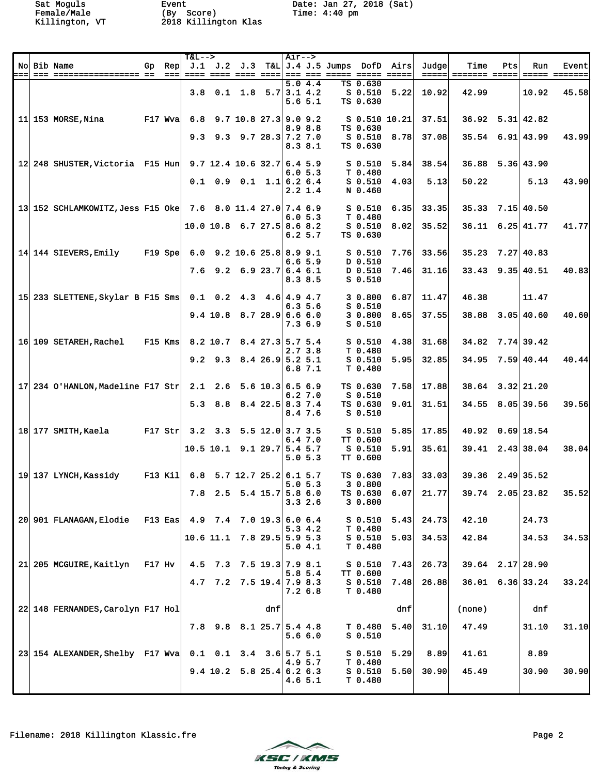|     |                                                             |                                      | $T&L--$ |                                      |     | $Air--$ |                   |                                                     |                                    |                 |       |                      |     |                          |                                |
|-----|-------------------------------------------------------------|--------------------------------------|---------|--------------------------------------|-----|---------|-------------------|-----------------------------------------------------|------------------------------------|-----------------|-------|----------------------|-----|--------------------------|--------------------------------|
| === | No Bib Name                                                 | Gp Rep<br>$=$ $=$ $=$ $\blacksquare$ |         | <u>---- ---- ---- ---- </u>          |     |         |                   | $J.1$ $J.2$ $J.3$ $T&L$ $J.4$ $J.5$ Jumps DofD Airs |                                    |                 | Judge | Time                 | Pts | Run                      | Event<br><u> ===== =======</u> |
|     |                                                             |                                      |         | 3.8 0.1 1.8 5.7 3.1 4.2              |     |         | 5.04.4<br>5.65.1  |                                                     | TS 0.630<br>$S$ 0.510<br>TS 0.630  | 5.22            | 10.92 | 42.99                |     | 10.92                    | 45.58                          |
|     | $11 153$ MORSE, Nina<br>$F17$ Wva                           |                                      |         | 6.8 $9.7$ 10.8 27.3 9.0 9.2          |     |         | 8.98.8            |                                                     | TS 0.630                           | $S$ 0.510 10.21 | 37.51 |                      |     | $36.92$ $5.31$ $42.82$   |                                |
|     |                                                             |                                      |         | $9.3$ $9.3$ $9.7$ $28.3$ $7.2$ $7.0$ |     |         | 8.38.1            |                                                     | $S$ 0.510<br>TS 0.630              | 8.78            | 37.08 |                      |     | $35.54$ 6.91 43.99       | 43.99                          |
|     | 12 248 SHUSTER, Victoria F15 Hun 9.7 12.4 10.6 32.7 6.4 5.9 |                                      |         |                                      |     |         | 6.05.3            |                                                     | S <sub>0.510</sub><br>T 0.480      | 5.84            | 38.54 |                      |     | $36.88$ $5.36$ 43.90     |                                |
|     |                                                             |                                      |         | $0.1$ 0.9 0.1 1.1 6.2 6.4            |     |         | $2.2 \; 1.4$      |                                                     | $S$ 0.510<br>N 0.460               | 4.03            | 5.13  | 50.22                |     | 5.13                     | 43.90                          |
|     | 13 152 SCHLAMKOWITZ, Jess F15 Oke 7.6 8.0 11.4 27.0 7.4 6.9 |                                      |         |                                      |     |         |                   |                                                     | $S$ 0.510                          | 6.35            | 33.35 | 35.33                |     | $7.15$ 40.50             |                                |
|     |                                                             |                                      |         | $10.0$ 10.8 6.7 27.5 8.6 8.2         |     |         | 6.05.3<br>6.25.7  |                                                     | T 0.480<br>$S$ 0.510<br>TS 0.630   | 8.02            | 35.52 |                      |     | $36.11 \quad 6.25$ 41.77 | 41.77                          |
|     | 14 144 SIEVERS, Emily                                       | $F19$ Spe                            |         | $6.0$ 9.2 10.6 25.8 8.9 9.1          |     |         |                   |                                                     | $S_0.510$                          | 7.76            | 33.56 | 35.23                |     | 7.27 40.83               |                                |
|     |                                                             |                                      |         | 7.6 $9.2$ 6.9 23.7 6.4 6.1           |     |         | 6.6 5.9           |                                                     | D 0.510<br>D 0.510                 | 7.46            | 31.16 |                      |     | $33.43$ $9.35$ 40.51     | 40.83                          |
|     |                                                             |                                      |         |                                      |     |         | 8.3 8.5           |                                                     | $S$ $0.510$                        |                 |       |                      |     |                          |                                |
|     | 15 233 SLETTENE, Skylar B F15 Sms 0.1 0.2 4.3 4.6 4.9 4.7   |                                      |         |                                      |     |         | 6.35.6            |                                                     | 30.800<br>$S_0.510$                | 6.87            | 11.47 | 46.38                |     | 11.47                    |                                |
|     |                                                             |                                      |         | $9.4$ 10.8 8.7 28.9 6.6 6.0          |     |         | 7.36.9            |                                                     | 30.800<br>$S$ 0.510                | 8.65            | 37.55 |                      |     | $38.88$ $3.05$ 40.60     | 40.60                          |
|     | 16 109 SETAREH, Rachel                                      | $F15$ Kms                            |         | 8.2 10.7 8.4 27.3 5.7 5.4            |     |         |                   |                                                     | $S_0.510$                          | 4.38            | 31.68 |                      |     | $34.82$ 7.74 39.42       |                                |
|     |                                                             |                                      |         | $9.2$ $9.3$ $8.4$ $26.9$ 5.2 5.1     |     |         | 2.73.8<br>6.87.1  |                                                     | T 0.480<br>$S$ 0.510<br>T 0.480    | 5.95            | 32.85 |                      |     | 34.95 7.59 40.44         | 40.44                          |
|     | 17 234 O'HANLON, Madeline F17 Str 2.1 2.6 5.6 10.3 6.5 6.9  |                                      |         |                                      |     |         |                   |                                                     | TS 0.630                           | 7.58            | 17.88 | $38.64$ $3.32$ 21.20 |     |                          |                                |
|     |                                                             |                                      |         | 5.3 8.8 8.4 22.5 8.3 7.4             |     |         | 6.27.0<br>8.4 7.6 |                                                     | $S$ 0.510<br>TS 0.630<br>$S$ 0.510 | 9.01            | 31.51 |                      |     | 34.55 8.05 39.56         | 39.56                          |
|     | 18 177 SMITH, Kaela<br>$F17$ Str                            |                                      |         | $3.2$ $3.3$ $5.5$ $12.0$ $3.7$ $3.5$ |     |         |                   |                                                     | S 0.510                            | 5.85            | 17.85 |                      |     | $40.92$ $0.69$ 18.54     |                                |
|     |                                                             |                                      |         | $10.5$ 10.1 9.1 29.7 5.4 5.7         |     |         | 6.47.0<br>5.05.3  |                                                     | TT 0.600<br>$S$ 0.510<br>TT 0.600  | 5.91            | 35.61 |                      |     | $39.41$ $2.43$ 38.04     | 38.04                          |
|     | 19 137 LYNCH. Kassidy                                       | F13 Kil                              |         | 6.8 5.7 12.7 25.2 6.1 5.7            |     |         |                   |                                                     | TS 0.630                           | 7.83            | 33.03 |                      |     | $39.36$ $2.49$ 35.52     |                                |
|     |                                                             |                                      |         | 7.8 2.5 5.4 15.7 5.8 6.0             |     | 5.05.3  | 3.32.6            |                                                     | 30.800<br>TS 0.630<br>30.800       | 6.07            | 21.77 | $39.74$ 2.05 23.82   |     |                          | 35.52                          |
|     | 20 901 FLANAGAN, Elodie F13 Eas 4.9 7.4 7.0 19.3 6.0 6.4    |                                      |         |                                      |     |         |                   |                                                     | S <sub>0.510</sub>                 | 5.43            | 24.73 | 42.10                |     | 24.73                    |                                |
|     |                                                             |                                      |         | $10.6$ 11.1 7.8 29.5 5.9 5.3         |     |         | 5.3 4.2           |                                                     | T 0.480<br>$S$ 0.510               | 5.03            | 34.53 | 42.84                |     | 34.53                    | 34.53                          |
|     |                                                             |                                      |         |                                      |     |         | 5.04.1            |                                                     | T 0.480                            |                 |       |                      |     |                          |                                |
|     | 21 205 MCGUIRE, Kaitlyn F17 Hv                              |                                      |         | 4.5 7.3 7.5 19.3 7.9 8.1             |     |         | 5.85.4            |                                                     | $S$ 0.510<br><b>TT 0.600</b>       | 7.43            | 26.73 | $39.64$ $2.17$ 28.90 |     |                          |                                |
|     |                                                             |                                      |         | 4.7 7.2 7.5 19.4 7.9 8.3             |     |         | 7.2 6.8           |                                                     | $S$ 0.510<br>T 0.480               | 7.48            | 26.88 |                      |     | $36.01$ 6.36 33.24       | 33.24                          |
|     | 22 148 FERNANDES, Carolyn F17 Hol                           |                                      |         |                                      | dnf |         |                   |                                                     |                                    | dnf             |       | (none)               |     | dnf                      |                                |
|     |                                                             |                                      |         | 7.8 $9.8$ 8.1 25.7 5.4 4.8           |     |         | 5.6 6.0           |                                                     | T 0.480<br>$S$ 0.510               | 5.40            | 31.10 | 47.49                |     | 31.10                    | 31.10                          |
|     | 23 154 ALEXANDER, Shelby F17 Wva                            |                                      |         | $0.1$ $0.1$ $3.4$ $3.6$ $5.7$ $5.1$  |     |         |                   |                                                     | S 0.510                            | 5.29            | 8.89  | 41.61                |     | 8.89                     |                                |
|     |                                                             |                                      |         | 9.4 10.2 5.8 25.4 6.2 6.3            |     |         | 4.9 5.7           |                                                     | T 0.480<br>$S$ 0.510               | 5.50            | 30.90 | 45.49                |     | 30.90                    | 30.90                          |
|     |                                                             |                                      |         |                                      |     |         | 4.6 5.1           |                                                     | T 0.480                            |                 |       |                      |     |                          |                                |

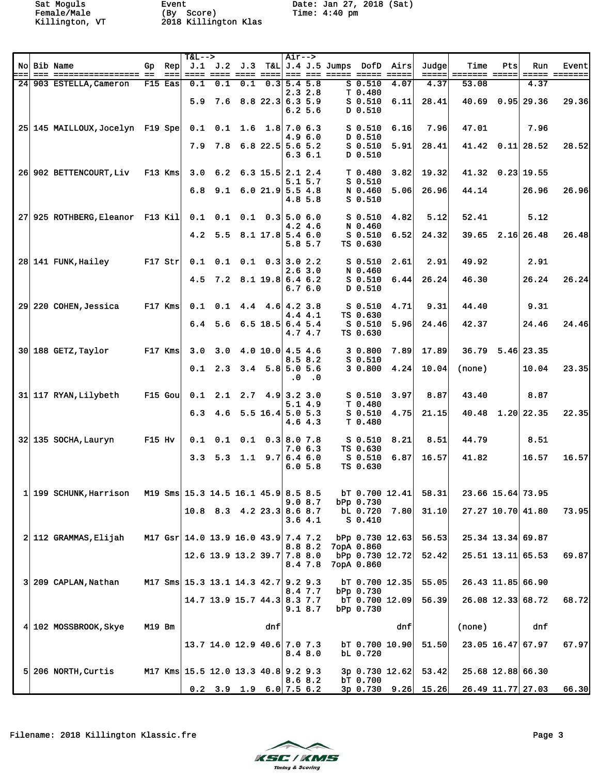|                 |                                                          |           |       | $T&L-->$                            |     |                                      |     | $Air--$       |                         |                                                |                                     |                     |                       |                              |     |                      |                        |
|-----------------|----------------------------------------------------------|-----------|-------|-------------------------------------|-----|--------------------------------------|-----|---------------|-------------------------|------------------------------------------------|-------------------------------------|---------------------|-----------------------|------------------------------|-----|----------------------|------------------------|
| :==             | No Bib Name                                              |           | $===$ |                                     |     |                                      |     |               |                         | Gp Rep J.1 J.2 J.3 T&L J.4 J.5 Jumps DofD Airs |                                     | $=$ $=$ $=$ $=$ $=$ | Judge<br>=====        | Time<br><b>======= =====</b> | Pts | Run                  | Event<br>===== ======= |
|                 | 24 903 ESTELLA, Cameron                                  | $F15$ Eas |       | 0.1                                 | 0.1 | 0.1                                  |     | $0.3$ 5.4 5.8 |                         |                                                | $S$ $0.510$                         | 4.07                | 4.37                  | 53.08                        |     | 4.37                 |                        |
|                 |                                                          |           |       |                                     |     | $5.9$ 7.6 8.8 22.3 6.3 5.9           |     |               | 2.32.8<br>6.25.6        |                                                | T 0.480<br>$S$ 0.510<br>D 0.510     | 6.11                | 28.41                 | 40.69                        |     | $0.95$ 29.36         | 29.36                  |
|                 | 25 145 MAILLOUX, Jocelyn F19 Spe 0.1 0.1 1.6 1.8 7.0 6.3 |           |       |                                     |     |                                      |     |               |                         |                                                | $S_0.510$                           | 6.16                | 7.96                  | 47.01                        |     | 7.96                 |                        |
|                 |                                                          |           |       |                                     |     | $7.9$ $7.8$ $6.8$ $22.5$ 5.6 5.2     |     |               | 4.96.0<br>6.36.1        |                                                | D 0.510<br>$S$ $0.510$<br>$D$ 0.510 | 5.91                | 28.41                 |                              |     | $41.42$ 0.11 28.52   | 28.52                  |
|                 | 26 902 BETTENCOURT, Liv F13 Kms                          |           |       |                                     |     | 3.0 6.2 6.3 15.5 2.1 2.4             |     |               |                         |                                                | T <sub>0.480</sub>                  | 3.82                | 19.32                 |                              |     | $41.32$ 0.23 19.55   |                        |
|                 |                                                          |           |       |                                     |     | 6.8 $9.1$ 6.0 21.9 5.5 4.8           |     |               | 5.15.7<br>4.8 5.8       |                                                | $S$ 0.510<br>N 0.460<br>$S_0.510$   | 5.06                | 26.96                 | 44.14                        |     | 26.96                | 26.96                  |
|                 | 27 925 ROTHBERG, Eleanor F13 Kil                         |           |       |                                     |     | $0.1$ 0.1 0.1 0.3 5.0 6.0            |     |               |                         |                                                | $S$ 0.510                           | 4.82                | 5.12                  | 52.41                        |     | 5.12                 |                        |
|                 |                                                          |           |       |                                     |     | 4.2 5.5 8.1 17.8 5.4 6.0             |     |               | 4.2 4.6<br>5.8 5.7      |                                                | N 0.460<br>$S$ 0.510<br>TS 0.630    | 6.52                | 24.32                 |                              |     | $39.65$ $2.16$ 26.48 | 26.48                  |
|                 | 28 141 FUNK Hailey<br>$F17$ Str                          |           |       |                                     |     | $0.1$ $0.1$ $0.1$ $0.3$ 3.0 2.2      |     |               |                         |                                                | $S$ 0.510                           | 2.61                | 2.91                  | 49.92                        |     | 2.91                 |                        |
|                 |                                                          |           |       |                                     |     | 4.5 7.2 8.1 19.8 6.4 6.2             |     |               | 2.63.0<br>6.76.0        |                                                | N 0.460<br>$S$ 0.510<br>D 0.510     | 6.44                | 26.24                 | 46.30                        |     | 26.24                | 26.24                  |
| 29 <sub>1</sub> | 220 COHEN, Jessica                                       | $F17$ Kms |       |                                     |     | $0.1$ $0.1$ $4.4$ $4.6$ $4.2$ 3.8    |     |               | 4.4 4.1                 |                                                | $S$ 0.510<br>TS 0.630               | 4.71                | 9.31                  | 44.40                        |     | 9.31                 |                        |
|                 |                                                          |           |       |                                     |     | $6.4$ 5.6 6.5 18.5 6.4 5.4           |     |               | 4.7 4.7                 |                                                | $S$ 0.510<br>TS 0.630               | 5.96                | 24.46                 | 42.37                        |     | 24.46                | 24.46                  |
|                 | $30 188$ GETZ, Taylor                                    | $F17$ Kms |       |                                     |     | $3.0$ $3.0$ $4.0$ $10.0$ $4.5$ $4.6$ |     |               |                         |                                                | 30.800<br>$S$ 0.510                 | 7.89                | 17.89                 |                              |     | $36.79$ $5.46$ 23.35 |                        |
|                 |                                                          |           |       |                                     |     | $0.1$ 2.3 3.4 5.8 5.0 5.6            |     |               | 8.58.2<br>$.0 \quad .0$ |                                                | 30.800                              | 4.24                | 10.04                 | (none)                       |     | 10.04                | 23.35                  |
|                 | 31 117 RYAN, Lilybeth                                    | $F15$ Gou |       |                                     |     | $0.1$ 2.1 2.7 4.9 3.2 3.0            |     |               |                         |                                                | S <sub>0.510</sub>                  | 3.97                | 8.87                  | 43.40                        |     | 8.87                 |                        |
|                 |                                                          |           |       |                                     |     | 6.3 4.6 5.5 16.4 5.0 5.3             |     |               | 5.14.9<br>4.64.3        |                                                | T 0.480<br>$S$ 0.510<br>T 0.480     | 4.75                | 21.15                 |                              |     | 40.48 1.20 22.35     | 22.35                  |
|                 | 32 135 SOCHA, Lauryn                                     | F15 Hv    |       |                                     |     | $0.1$ $0.1$ $0.1$ $0.3$ 8.0 7.8      |     |               | 7.06.3                  |                                                | S 0.510<br>TS 0.630                 | 8.21                | 8.51                  | 44.79                        |     | 8.51                 |                        |
|                 |                                                          |           |       |                                     |     | 3.3 5.3 1.1 9.7 6.4 6.0              |     |               | 6.05.8                  |                                                | S 0.510<br>TS 0.630                 | 6.87                | 16.57                 | 41.82                        |     | 16.57                | 16.57                  |
| 1               | 199 SCHUNK, Harrison                                     |           |       | M19 Sms 15.3 14.5 16.1 45.9 8.5 8.5 |     |                                      |     |               |                         |                                                |                                     | $bT$ 0.700 12.41    | 58.31                 | 23.66 15.64 73.95            |     |                      |                        |
|                 |                                                          |           |       |                                     |     | $10.8$ 8.3 4.2 23.3 8.6 8.7          |     |               | 9.08.7<br>3.64.1        |                                                | bPp 0.730<br>bL 0.720<br>$S$ 0.410  | 7.80                | 31.10                 |                              |     | 27.27 10.70 41.80    | 73.95                  |
|                 | 2 112 GRAMMAS, Elijah                                    |           |       | M17 Gsr 14.0 13.9 16.0 43.9 7.4 7.2 |     |                                      |     |               |                         |                                                |                                     | $bPp$ 0.730 12.63   | 56.53                 |                              |     | 25.34 13.34 69.87    |                        |
|                 |                                                          |           |       |                                     |     | $12.6$ 13.9 13.2 39.7 7.8 8.0        |     |               | 8.8 8.2<br>8.4 7.8      |                                                | 7opA 0.860<br>7opA 0.860            | bPp 0.730 12.72     | 52.42                 |                              |     | $25.51$ 13.11 65.53  | 69.87                  |
| 3               | 209 CAPLAN, Nathan                                       |           |       | M17 Sms 15.3 13.1 14.3 42.7 9.2 9.3 |     |                                      |     |               |                         |                                                |                                     | $bT$ 0.700 12.35    | 55.05                 |                              |     | 26.43 11.85 66.90    |                        |
|                 |                                                          |           |       |                                     |     | 14.7 13.9 15.7 44.3 8.3 7.7          |     |               | 8.4 7.7<br>9.18.7       |                                                | bPp 0.730<br>bPp 0.730              | $bT$ 0.700 12.09    | 56.39                 |                              |     | 26.08 12.33 68.72    | 68.72                  |
|                 | 4 102 MOSSBROOK, Skye                                    | M19 Bm    |       |                                     |     |                                      | dnf |               |                         |                                                |                                     | dnf                 |                       | (none)                       |     | dnf                  |                        |
|                 |                                                          |           |       |                                     |     | 13.7 14.0 12.9 40.6 7.0 7.3          |     |               | 8.4 8.0                 |                                                | bL 0.720                            | $bT$ 0.700 10.90    | 51.50                 |                              |     | 23.05 16.47 67.97    | 67.97                  |
|                 | $5 206$ NORTH, Curtis                                    |           |       | M17 Kms 15.5 12.0 13.3 40.8 9.2 9.3 |     |                                      |     |               |                         |                                                |                                     | 3p 0.730 12.62      | 53.42                 |                              |     | 25.68 12.88 66.30    |                        |
|                 |                                                          |           |       |                                     |     | $0.2$ 3.9 1.9 6.0 7.5 6.2            |     |               | 8.6 8.2                 |                                                | bT 0.700                            |                     | $3p$ 0.730 9.26 15.26 | 26.49 11.77 27.03            |     |                      | 66.30                  |

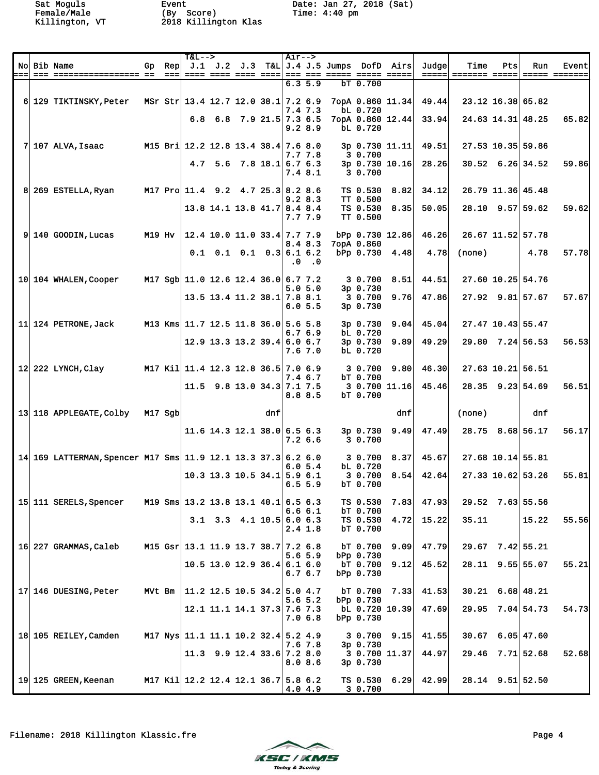|      | No Bib Name                                                   |               | Gp Rep | $T&L-->$                            |                                    |     | Air-->  |               | $J.1$ $J.2$ $J.3$ $T&L$ $J.4$ $J.5$ Jumps DofD Airs          |                               |      | Judge | Time   | Pts | Run                      | <b>Event</b>  |
|------|---------------------------------------------------------------|---------------|--------|-------------------------------------|------------------------------------|-----|---------|---------------|--------------------------------------------------------------|-------------------------------|------|-------|--------|-----|--------------------------|---------------|
| ===। |                                                               |               |        |                                     |                                    |     |         | 6.35.9        | <u>---  ---- ---- ---- ----  --- --- ---- ---- ---- ----</u> | bT 0.700                      |      |       |        |     |                          | ===== ======= |
|      | 6 129 TIKTINSKY, Peter MSr Str 13.4 12.7 12.0 38.1 7.2 6.9    |               |        |                                     |                                    |     |         |               |                                                              | 7opA 0.860 11.34              |      | 49.44 |        |     | 23.12 16.38 65.82        |               |
|      |                                                               |               |        |                                     | $6.8$ $6.8$ $7.9$ $21.5$ 7.3 $6.5$ |     |         | 7.4 7.3       |                                                              | bL 0.720<br>7opA 0.860 12.44  |      | 33.94 |        |     | $24.63$ 14.31 48.25      | 65.82         |
|      |                                                               |               |        |                                     |                                    |     | 9.28.9  |               |                                                              | bL 0.720                      |      |       |        |     |                          |               |
|      | $7 107$ ALVA, Isaac                                           |               |        | M15 Bri 12.2 12.8 13.4 38.4 7.6 8.0 |                                    |     |         | 7.7 7.8       |                                                              | 3p 0.730 11.11<br>30.700      |      | 49.51 |        |     | 27.53 10.35 59.86        |               |
|      |                                                               |               |        |                                     | 4.7 5.6 7.8 18.1 6.7 6.3           |     |         |               |                                                              | 3p 0.730 10.16                |      | 28.26 |        |     | $30.52 \quad 6.26$ 34.52 | 59.86         |
|      |                                                               |               |        |                                     |                                    |     | 7.4 8.1 |               |                                                              | 3 0.700                       |      |       |        |     |                          |               |
|      | 8 269 ESTELLA, Ryan                                           |               |        | M17 Pro 11.4 9.2 4.7 25.3 8.2 8.6   |                                    |     |         | 9.28.3        |                                                              | TS 0.530<br>TT 0.500          | 8.82 | 34.12 |        |     | 26.79 11.36 45.48        |               |
|      |                                                               |               |        |                                     | 13.8 14.1 13.8 41.7 8.4 8.4        |     | 7.7 7.9 |               |                                                              | TS 0.530<br>TT 0.500          | 8.35 | 50.05 |        |     | $28.10$ $9.57$ 59.62     | 59.62         |
|      | $9 140$ GOODIN, Lucas                                         | <b>M19 Hv</b> |        |                                     | 12.4 10.0 11.0 33.4 7.7 7.9        |     |         |               |                                                              | bPp 0.730 12.86               |      | 46.26 |        |     | 26.67 11.52 57.78        |               |
|      |                                                               |               |        |                                     | $0.1$ 0.1 0.1 0.3 6.1 6.2          |     |         | 8.48.3        |                                                              | 7opA 0.860<br>bPp 0.730 4.48  |      | 4.78  | (none) |     | 4.78                     | 57.78         |
|      |                                                               |               |        |                                     |                                    |     |         | $.0 \quad .0$ |                                                              |                               |      |       |        |     |                          |               |
|      | 10 104 WHALEN, Cooper                                         |               |        | M17 Sgb 11.0 12.6 12.4 36.0 6.7 7.2 |                                    |     |         | 5.05.0        |                                                              | 30.700<br>3p 0.730            | 8.51 | 44.51 |        |     | 27.60 10.25 54.76        |               |
|      |                                                               |               |        |                                     | 13.5 13.4 11.2 38.1 7.8 8.1        |     |         | 6.05.5        |                                                              | 3 0.700<br>3p 0.730           | 9.76 | 47.86 |        |     | $27.92$ $9.81$ 57.67     | 57.67         |
|      | 11 124 PETRONE, Jack                                          |               |        | M13 Kms 11.7 12.5 11.8 36.0 5.6 5.8 |                                    |     |         |               |                                                              | 3p 0.730                      | 9.04 | 45.04 |        |     | 27.47 10.43 55.47        |               |
|      |                                                               |               |        |                                     | 12.9 13.3 13.2 39.4 6.0 6.7        |     |         | 6.76.9        |                                                              | bL 0.720<br>3p 0.730          | 9.89 | 49.29 |        |     | $29.80$ 7.24 56.53       | 56.53         |
|      |                                                               |               |        |                                     |                                    |     |         | 7.67.0        |                                                              | bL 0.720                      |      |       |        |     |                          |               |
|      | $12$ 222 LYNCH, Clay                                          |               |        | M17 Kil 11.4 12.3 12.8 36.5 7.0 6.9 |                                    |     |         | 7.4 6.7       |                                                              | 3 0.700<br>bT 0.700           | 9.80 | 46.30 |        |     | 27.63 10.21 56.51        |               |
|      |                                                               |               |        |                                     | $11.5$ 9.8 13.0 34.3 7.1 7.5       |     |         | 8.8 8.5       |                                                              | 3 0.700 11.16<br>bT 0.700     |      | 45.46 |        |     | $28.35$ $9.23$ 54.69     | 56.51         |
|      | 13 118 APPLEGATE, Colby M17 Sgb                               |               |        |                                     |                                    | dnf |         |               |                                                              |                               | dnf  |       | (none) |     | dnf                      |               |
|      |                                                               |               |        |                                     | $11.6$ 14.3 12.1 38.0 6.5 6.3      |     |         |               |                                                              | 3p 0.730                      | 9.49 | 47.49 |        |     | 28.75 8.68 56.17         | 56.17         |
|      |                                                               |               |        |                                     |                                    |     | 7.26.6  |               |                                                              | 3 0.700                       |      |       |        |     |                          |               |
|      | 14 169 LATTERMAN, Spencer M17 Sms 11.9 12.1 13.3 37.3 6.2 6.0 |               |        |                                     |                                    |     |         |               |                                                              | 3 0.700                       | 8.37 | 45.67 |        |     | 27.68 10.14 55.81        |               |
|      |                                                               |               |        |                                     | $10.3$ 13.3 10.5 34.1 5.9 6.1      |     |         | 6.05.4        |                                                              | bL 0.720<br>3 0.700           | 8.54 | 42.64 |        |     | 27.33 10.62 53.26        | 55.81         |
|      |                                                               |               |        |                                     |                                    |     | 6.55.9  |               |                                                              | bT 0.700                      |      |       |        |     |                          |               |
|      | 15 111 SERELS, Spencer                                        |               |        | M19 Sms 13.2 13.8 13.1 40.1 6.5 6.3 |                                    |     |         | 6.66.1        |                                                              | TS 0.530<br>bT 0.700          | 7.83 | 47.93 |        |     | 29.52 7.63 55.56         |               |
|      |                                                               |               |        |                                     | $3.1$ $3.3$ $4.1$ $10.5$ 6.0 6.3   |     |         | $2.4 \t1.8$   |                                                              | TS 0.530<br>bT 0.700          | 4.72 | 15.22 | 35.11  |     | 15.22                    | 55.56         |
|      | 16 227 GRAMMAS, Caleb                                         |               |        | M15 Gsr 13.1 11.9 13.7 38.7 7.2 6.8 |                                    |     |         |               |                                                              | bT 0.700                      | 9.09 | 47.79 |        |     | $29.67$ $7.42$ 55.21     |               |
|      |                                                               |               |        |                                     | 10.5 13.0 12.9 36.4 6.1 6.0        |     |         | 5.6 5.9       |                                                              | bPp 0.730<br>bT 0.700         | 9.12 | 45.52 |        |     | 28.11 9.55 55.07         | 55.21         |
|      |                                                               |               |        |                                     |                                    |     |         | 6.76.7        |                                                              | bPp 0.730                     |      |       |        |     |                          |               |
|      | 17 146 DUESING, Peter                                         | MVt Bm        |        |                                     | 11.2 12.5 10.5 34.2 5.0 4.7        |     |         | $5.6\;5.2$    |                                                              | bT 0.700<br>bPp 0.730         | 7.33 | 41.53 |        |     | $30.21$ 6.68 48.21       |               |
|      |                                                               |               |        |                                     | 12.1 11.1 14.1 37.3 7.6 7.3        |     | 7.0 6.8 |               |                                                              | bL 0.720 10.39<br>bPp 0.730   |      | 47.69 |        |     | 29.95 7.04 54.73         | 54.73         |
|      | 18 105 REILEY, Camden                                         |               |        | M17 Nys 11.1 11.1 10.2 32.4 5.2 4.9 |                                    |     |         |               |                                                              | 3 0.700                       | 9.15 | 41.55 |        |     | $30.67$ 6.05 47.60       |               |
|      |                                                               |               |        |                                     | $11.3$ 9.9 12.4 33.6 7.2 8.0       |     |         | 7.6 7.8       |                                                              | $3p \t0.730$<br>3 0.700 11.37 |      | 44.97 |        |     | $29.46$ 7.71 52.68       | 52.68         |
|      |                                                               |               |        |                                     |                                    |     |         | 8.0 8.6       |                                                              | 3p 0.730                      |      |       |        |     |                          |               |
|      | 19 125 GREEN, Keenan                                          |               |        | M17 Kil 12.2 12.4 12.1 36.7 5.8 6.2 |                                    |     | 4.0 4.9 |               |                                                              | $TS$ 0.530 6.29<br>3 0.700    |      | 42.99 |        |     | $28.14$ 9.51 52.50       |               |

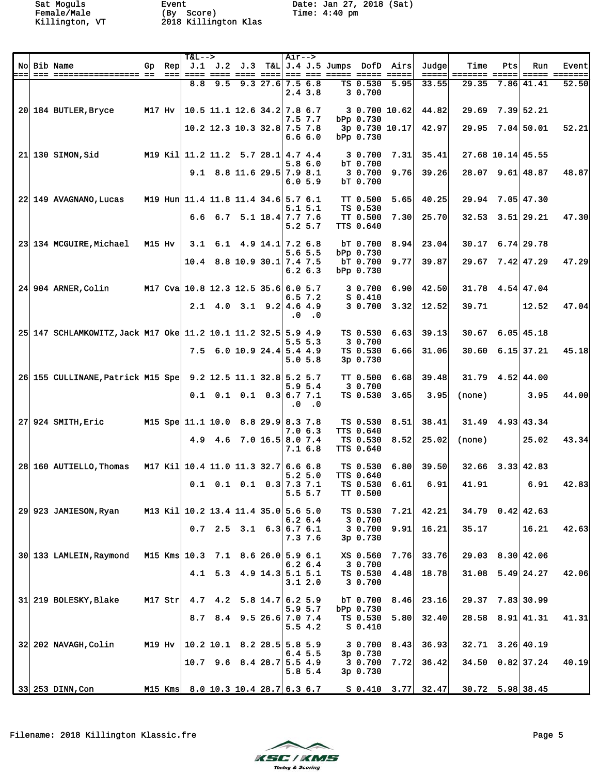|     |                                                               |         |             | $T&L-->$                            |             |                                                          |                    | $Air--$ |                    |                                                                                                   |                                     |                |       |                                       |     |                          |                        |
|-----|---------------------------------------------------------------|---------|-------------|-------------------------------------|-------------|----------------------------------------------------------|--------------------|---------|--------------------|---------------------------------------------------------------------------------------------------|-------------------------------------|----------------|-------|---------------------------------------|-----|--------------------------|------------------------|
| === | No Bib Name                                                   | Gp      | Rep<br>$==$ |                                     |             |                                                          |                    |         |                    | J.1 J.2 J.3 T&L J.4 J.5 Jumps DofD Airs<br><u> ==== ==== ==== ====  === === ===== ===== =====</u> |                                     |                | Judge | Time                                  | Pts | Run                      | Event<br>===== ======= |
|     |                                                               |         |             | 8.8                                 | 9.5         |                                                          | $9.3$ 27.6 7.5 6.8 |         |                    |                                                                                                   | TS 0.530                            | 5.95           | 33.55 | 29.35                                 |     | 7.86 41.41               | 52.50                  |
|     |                                                               |         |             |                                     |             |                                                          |                    |         | 2.43.8             |                                                                                                   | 3 0.700                             |                |       |                                       |     |                          |                        |
|     | 20 184 BUTLER, Bryce                                          | M17 Hv  |             | 10.5 11.1 12.6 34.2   7.8 6.7       |             |                                                          |                    |         |                    |                                                                                                   |                                     | 3 0.700 10.62  | 44.82 |                                       |     | $29.69$ $7.39$ 52.21     |                        |
|     |                                                               |         |             |                                     |             |                                                          |                    |         | 7.5 7.7            |                                                                                                   | bPp 0.730                           |                |       |                                       |     |                          |                        |
|     |                                                               |         |             |                                     |             | 10.2 12.3 10.3 32.8 7.5 7.8                              |                    |         | 6.66.0             |                                                                                                   | bPp 0.730                           | 3p 0.730 10.17 | 42.97 |                                       |     | 29.95 7.04 50.01         | 52.21                  |
|     |                                                               |         |             |                                     |             |                                                          |                    |         |                    |                                                                                                   |                                     |                |       |                                       |     |                          |                        |
|     | $21$ 130 SIMON, Sid                                           |         |             | M19 Kil 11.2 11.2 5.7 28.1 4.7 4.4  |             |                                                          |                    |         | 5.86.0             |                                                                                                   | 3 0.700<br>bT 0.700                 | 7.31           | 35.41 |                                       |     | 27.68 10.14 45.55        |                        |
|     |                                                               |         |             |                                     |             | 9.1 8.8 11.6 29.5 7.9 8.1                                |                    |         |                    |                                                                                                   | 3 0.700                             | 9.76           | 39.26 |                                       |     | $28.07$ 9.61 48.87       | 48.87                  |
|     |                                                               |         |             |                                     |             |                                                          |                    |         | 6.05.9             |                                                                                                   | bT 0.700                            |                |       |                                       |     |                          |                        |
|     | 22 149 AVAGNANO, Lucas                                        |         |             | M19 Hun 11.4 11.8 11.4 34.6 5.7 6.1 |             |                                                          |                    |         |                    |                                                                                                   | <b>TT 0.500</b>                     | 5.65           | 40.25 |                                       |     | 29.94 7.05 47.30         |                        |
|     |                                                               |         |             |                                     |             |                                                          |                    |         | 5.15.1             |                                                                                                   | TS 0.530                            |                |       |                                       |     |                          |                        |
|     |                                                               |         |             |                                     |             | 6.6 6.7 5.1 18.4 7.7 7.6                                 |                    |         | 5.2 5.7            |                                                                                                   | <b>TT 0.500</b><br><b>TTS 0.640</b> | 7.30           | 25.70 | 32.53                                 |     | 3.51 29.21               | 47.30                  |
|     |                                                               |         |             |                                     |             |                                                          |                    |         |                    |                                                                                                   |                                     |                |       |                                       |     |                          |                        |
|     | 23 134 MCGUIRE, Michael                                       | M15 Hv  |             |                                     |             | $3.1 \quad 6.1 \quad 4.9 \quad 14.1 \quad 7.2 \quad 6.8$ |                    |         | $5.6\,5.5$         |                                                                                                   | bT 0.700<br>bPp 0.730               | 8.94           | 23.04 |                                       |     | $30.17 \quad 6.74$ 29.78 |                        |
|     |                                                               |         |             |                                     |             | $10.4$ 8.8 10.9 30.1 7.4 7.5                             |                    |         |                    |                                                                                                   | bT 0.700                            | 9.77           | 39.87 |                                       |     | $29.67$ $7.42$ $47.29$   | 47.29                  |
|     |                                                               |         |             |                                     |             |                                                          |                    |         | 6.26.3             |                                                                                                   | bPp 0.730                           |                |       |                                       |     |                          |                        |
|     | 24 904 ARNER.Colin                                            |         |             | M17 Cva 10.8 12.3 12.5 35.6 6.0 5.7 |             |                                                          |                    |         |                    |                                                                                                   | 3 0.700                             | 6.90           | 42.50 |                                       |     | $31.78$ 4.54 47.04       |                        |
|     |                                                               |         |             |                                     |             |                                                          |                    |         | 6.57.2             |                                                                                                   | $S_0.410$                           |                |       |                                       |     |                          |                        |
|     |                                                               |         |             |                                     |             | $2.1$ 4.0 3.1 9.2 4.6 4.9                                |                    | . 0     | .0                 |                                                                                                   | 3 0.700                             | 3.32           | 12.52 | 39.71                                 |     | 12.52                    | 47.04                  |
|     |                                                               |         |             |                                     |             |                                                          |                    |         |                    |                                                                                                   |                                     |                |       |                                       |     |                          |                        |
|     | 25 147 SCHLAMKOWITZ, Jack M17 Oke 11.2 10.1 11.2 32.5 5.9 4.9 |         |             |                                     |             |                                                          |                    |         | 5.5 <sub>5.3</sub> |                                                                                                   | TS 0.530<br>3 0.700                 | 6.63           | 39.13 |                                       |     | $30.67$ 6.05 45.18       |                        |
|     |                                                               |         |             |                                     |             | $7.5 \t6.0 \t10.9 \t24.4 \t5.4 \t4.9$                    |                    |         |                    |                                                                                                   | TS 0.530                            | 6.66           | 31.06 |                                       |     | $30.60$ 6.15 37.21       | 45.18                  |
|     |                                                               |         |             |                                     |             |                                                          |                    |         | 5.05.8             |                                                                                                   | $3p \t0.730$                        |                |       |                                       |     |                          |                        |
|     | 26 155 CULLINANE, Patrick M15 Spe 9.2 12.5 11.1 32.8 5.2 5.7  |         |             |                                     |             |                                                          |                    |         |                    |                                                                                                   | TT 0.500                            | 6.68           | 39.48 |                                       |     | $31.79$ 4.52 44.00       |                        |
|     |                                                               |         |             |                                     |             |                                                          |                    |         | 5.95.4             |                                                                                                   | 3 0.700                             |                |       |                                       |     |                          |                        |
|     |                                                               |         |             |                                     |             | $0.1$ $0.1$ $0.1$ $0.3$ $6.7$ $7.1$                      |                    |         | $.0 \quad .0$      |                                                                                                   | TS 0.530                            | 3.65           | 3.95  | (none)                                |     | 3.95                     | 44.00                  |
|     |                                                               |         |             |                                     |             |                                                          |                    |         |                    |                                                                                                   |                                     |                |       |                                       |     |                          |                        |
|     | 27 924 SMITH, Eric                                            |         |             | M15 Spe 11.1 10.0 8.8 29.9 8.3 7.8  |             |                                                          |                    |         | 7.06.3             |                                                                                                   | TS 0.530<br><b>TTS 0.640</b>        | 8.51           | 38.41 |                                       |     | $31.49$ 4.93 43.34       |                        |
|     |                                                               |         |             |                                     | $4.9$ $4.6$ | $7.0$ 16.5 8.0 $7.4$                                     |                    |         |                    |                                                                                                   | TS 0.530                            | 8.52           | 25.02 | (none)                                |     | 25.02                    | 43.34                  |
|     |                                                               |         |             |                                     |             |                                                          |                    |         | 7.1 6.8            |                                                                                                   | TTS 0.640                           |                |       |                                       |     |                          |                        |
|     | 28 160 AUTIELLO. Thomas                                       |         |             | M17 Kil 10.4 11.0 11.3 32.7 6.6 6.8 |             |                                                          |                    |         |                    |                                                                                                   | TS 0.530                            | 6.80           | 39.50 |                                       |     | $32.66$ $3.33$ $42.83$   |                        |
|     |                                                               |         |             |                                     |             |                                                          |                    |         | 5.25.0             |                                                                                                   | <b>TTS 0.640</b>                    |                |       |                                       |     |                          |                        |
|     |                                                               |         |             |                                     |             | $0.1$ $0.1$ $0.1$ $0.3$ 7.3 7.1                          |                    |         |                    |                                                                                                   | TS 0.530<br>TT 0.500                | 6.61           | 6.91  | 41.91                                 |     | 6.91                     | 42.83                  |
|     |                                                               |         |             |                                     |             |                                                          |                    |         | 5.5 5.7            |                                                                                                   |                                     |                |       |                                       |     |                          |                        |
|     | 29 923 JAMIESON, Ryan                                         |         |             | M13 Kil 10.2 13.4 11.4 35.0 5.6 5.0 |             |                                                          |                    |         |                    |                                                                                                   | TS 0.530                            | 7.21           | 42.21 |                                       |     | $34.79$ 0.42 42.63       |                        |
|     |                                                               |         |             |                                     |             | $0.7$ 2.5 3.1 6.3 6.7 6.1                                |                    |         | 6.26.4             |                                                                                                   | 3 0.700<br>3 0.700                  | 9.91           | 16.21 | 35.17                                 |     | 16.21                    | 42.63                  |
|     |                                                               |         |             |                                     |             |                                                          |                    |         | 7.3 7.6            |                                                                                                   | 3p 0.730                            |                |       |                                       |     |                          |                        |
|     | 30 133 LAMLEIN, Raymond                                       |         |             | M15 Kms 10.3 7.1 8.6 26.0 5.9 6.1   |             |                                                          |                    |         |                    |                                                                                                   | XS 0.560                            | 7.76           | 33.76 |                                       |     | $29.03$ $8.30$ 42.06     |                        |
|     |                                                               |         |             |                                     |             |                                                          |                    |         | 6.26.4             |                                                                                                   | 3 0.700                             |                |       |                                       |     |                          |                        |
|     |                                                               |         |             |                                     |             | 4.1 5.3 4.9 14.3 5.1 5.1                                 |                    |         | 3.12.0             |                                                                                                   | TS 0.530<br>3 0.700                 | 4.48           | 18.78 |                                       |     | $31.08$ $5.49$ 24.27     | 42.06                  |
|     |                                                               |         |             |                                     |             |                                                          |                    |         |                    |                                                                                                   |                                     |                |       |                                       |     |                          |                        |
|     | 31 219 BOLESKY, Blake                                         | M17 Str |             |                                     |             | 4.7 4.2 5.8 14.7 6.2 5.9                                 |                    |         |                    |                                                                                                   | bT 0.700                            | 8.46           | 23.16 |                                       |     | $29.37$ $7.83$ 30.99     |                        |
|     |                                                               |         |             | 8.7                                 |             | $8.4$ 9.5 26.6 7.0 7.4                                   |                    |         | 5.9 5.7            |                                                                                                   | bPp 0.730<br>TS 0.530               | 5.80           | 32.40 |                                       |     | $28.58$ $8.91$ 41.31     | 41.31                  |
|     |                                                               |         |             |                                     |             |                                                          |                    |         | 5.54.2             |                                                                                                   | $S_0.410$                           |                |       |                                       |     |                          |                        |
|     | 32 202 NAVAGH, Colin                                          | M19 Hv  |             | 10.2 10.1 8.2 28.5  5.8 5.9         |             |                                                          |                    |         |                    |                                                                                                   | 3 0.700                             | 8.43           | 36.93 |                                       |     | $32.71$ $3.26$ 40.19     |                        |
|     |                                                               |         |             |                                     |             |                                                          |                    |         | 6.45.5             |                                                                                                   | 3p 0.730                            |                |       |                                       |     |                          |                        |
|     |                                                               |         |             |                                     |             | $10.7$ 9.6 8.4 28.7 5.5 4.9                              |                    |         | 5.8 5.4            |                                                                                                   | 3 0.700<br>3p 0.730                 | 7.72           | 36.42 |                                       |     | 34.50 0.82 37.24         | 40.19                  |
|     |                                                               |         |             |                                     |             |                                                          |                    |         |                    |                                                                                                   |                                     |                |       |                                       |     |                          |                        |
|     | 33 253 DINN, Con                                              |         |             | M15 Kms 8.0 10.3 10.4 28.7 6.3 6.7  |             |                                                          |                    |         |                    |                                                                                                   |                                     |                |       | $S$ 0.410 3.77 32.47 30.72 5.98 38.45 |     |                          |                        |

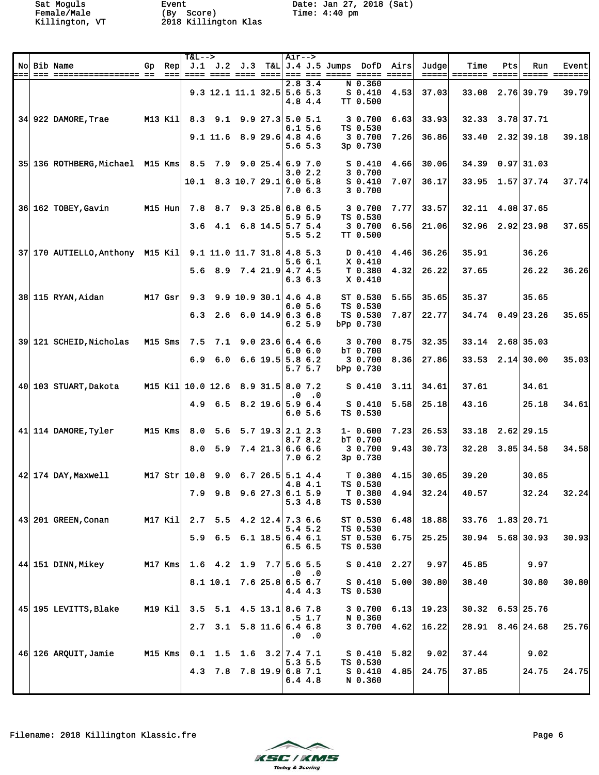|     |                                                           |           |                 | $T&L-->$                           |                 |                                      |                    |           | $Air--$                  |                                                       |                                        |      |                 |                      |     |                    |                        |
|-----|-----------------------------------------------------------|-----------|-----------------|------------------------------------|-----------------|--------------------------------------|--------------------|-----------|--------------------------|-------------------------------------------------------|----------------------------------------|------|-----------------|----------------------|-----|--------------------|------------------------|
|     | No Bib Name                                               | Gp        | Rep             |                                    |                 |                                      |                    |           |                          | J.1 J.2 J.3 T&L J.4 J.5 Jumps DofD                    |                                        | Airs | Judge           | Time                 | Pts | Run                | Event                  |
| ⊨== |                                                           |           | $=$ $=$ $=$ $ $ |                                    |                 | 9.3 12.1 11.1 32.5 5.6 5.3           |                    |           | 2.83.4<br>4.8 4.4        | <u>==== ==== ==== ====  === === ===== ===== =====</u> | $N$ 0.360<br>$S$ 0.410<br>TT 0.500     | 4.53 | ===== <br>37.03 | 33.08 2.76 39.79     |     |                    | ===== =======<br>39.79 |
|     | 34 922 DAMORE, Trae                                       | M13 Kil   |                 |                                    |                 | 8.3 9.1 9.9 27.3 5.0 5.1             |                    |           | 6.15.6                   |                                                       | 3 0.700<br>TS 0.530                    | 6.63 | 33.93           | 32.33 3.78 37.71     |     |                    |                        |
|     |                                                           |           |                 |                                    |                 | $9.1$ 11.6 8.9 29.6 4.8 4.6          |                    |           | 5.6 5.3                  |                                                       | 3 0.700<br>$3p \t0.730$                | 7.26 | 36.86           | 33.40                |     | $2.32$ 39.18       | 39.18                  |
|     | 35 136 ROTHBERG. Michael M15 Kms 8.5 7.9 9.0 25.4 6.9 7.0 |           |                 |                                    |                 |                                      |                    |           | 3.02.2                   |                                                       | $S_0.410$<br>3 0.700                   | 4.66 | 30.06           | 34.39                |     | $0.97$ 31.03       |                        |
|     |                                                           |           |                 |                                    |                 | $10.1$ 8.3 10.7 29.1 6.0 5.8         |                    |           | 7.06.3                   |                                                       | $S$ 0.410<br>3 0.700                   | 7.07 | 36.17           |                      |     | 33.95 1.57 37.74   | 37.74                  |
|     | 36 162 TOBEY, Gavin                                       | M15 Hun   |                 |                                    |                 | 7.8 8.7 9.3 25.8 6.8 6.5             |                    |           |                          |                                                       | 3 0.700                                | 7.77 | 33.57           | 32.11                |     | 4.08 37.65         |                        |
|     |                                                           |           |                 | 3.6                                |                 | 4.1 6.8 14.5 5.7 5.4                 |                    |           | 5.9 5.9<br>5.5 5.2       |                                                       | TS 0.530<br>3 0.700<br><b>TT 0.500</b> | 6.56 | 21.06           | $32.96$ $2.92$ 23.98 |     |                    | 37.65                  |
|     | 37 170 AUTIELLO, Anthony M15 Kil                          |           |                 |                                    |                 | $9.1$ 11.0 11.7 31.8 4.8 5.3         |                    |           |                          |                                                       | D 0.410                                | 4.46 | 36.26           | 35.91                |     | 36.26              |                        |
|     |                                                           |           |                 |                                    |                 | 5.6 8.9 7.4 21.9 4.7 4.5             |                    |           | 5.66.1<br>6.3 6.3        |                                                       | X 0.410<br>T 0.380<br>$X$ 0.410        | 4.32 | 26.22           | 37.65                |     | 26.22              | 36.26                  |
|     | 38 115 RYAN, Aidan<br>$M17$ Gsr                           |           |                 |                                    |                 | 9.3 9.9 10.9 30.1 4.6 4.8            |                    |           |                          |                                                       | ST 0.530                               | 5.55 | 35.65           | 35.37                |     | 35.65              |                        |
|     |                                                           |           |                 |                                    |                 | $6.3$ 2.6 6.0 14.9 6.3 6.8           |                    |           | 6.0 5.6<br>6.2 5.9       |                                                       | TS 0.530<br>TS 0.530<br>bPp 0.730      | 7.87 | 22.77           |                      |     | $34.74$ 0.49 23.26 | 35.65                  |
|     | 39 121 SCHEID, Nicholas                                   | $M15$ Sms |                 |                                    |                 | $7.5$ $7.1$ $9.0$ $23.6$ 6.4 6.6     |                    |           |                          |                                                       | 3 0.700                                | 8.75 | 32.35           | 33.14 2.68 35.03     |     |                    |                        |
|     |                                                           |           |                 |                                    |                 | $6.9$ $6.0$ $6.6$ $19.5$ 5.8 $6.2$   |                    |           | 6.06.0<br>5.7 5.7        |                                                       | bT 0.700<br>3 0.700<br>bPp 0.730       | 8.36 | 27.86           | $33.53$ $2.14$ 30.00 |     |                    | 35.03                  |
|     | 40 103 STUART, Dakota                                     |           |                 | M15 Kil 10.0 12.6 8.9 31.5 8.0 7.2 |                 |                                      |                    |           |                          |                                                       | $S_0.410$                              | 3.11 | 34.61           | 37.61                |     | 34.61              |                        |
|     |                                                           |           |                 |                                    |                 | 4.9 6.5 8.2 19.6 5.9 6.4             |                    | $\cdot$ 0 | $\cdot$ .0<br>6.0 5.6    |                                                       | $S_0.410$<br>TS 0.530                  | 5.58 | 25.18           | 43.16                |     | 25.18              | 34.61                  |
|     | 41 114 DAMORE, Tyler                                      | M15 Kms   |                 | 8.0                                |                 | $5.6$ $5.7$ $19.3$ $2.1$ $2.3$       |                    |           |                          |                                                       | $1 - 0.600$                            | 7.23 | 26.53           | 33.18                |     | 2.62 29.15         |                        |
|     |                                                           |           |                 |                                    |                 | $8.0$ 5.9 7.4 21.3 6.6 6.6           |                    |           | 8.78.2<br>7.06.2         |                                                       | bT 0.700<br>3 0.700<br>3p 0.730        | 9.43 | 30.73           | 32.28                |     | $3.85$ 34.58       | 34.58                  |
|     | $42$ 174 DAY, Maxwell                                     |           |                 | M17 Str 10.8 9.0 6.7 26.5 5.1 4.4  |                 |                                      |                    |           |                          |                                                       | T <sub>0.380</sub>                     | 4.15 | 30.65           | 39.20                |     | 30.65              |                        |
|     |                                                           |           |                 |                                    |                 | 7.9 9.8 9.6 27.3 6.1 5.9             |                    |           | 4.8 4.1<br>5.34.8        |                                                       | TS 0.530<br>T 0.380<br>TS 0.530        | 4.94 | 32.24           | 40.57                |     | 32.24              | 32.24                  |
|     | 43 201 GREEN, Conan                                       | M17 Kil   |                 |                                    |                 | $2.7$ 5.5 4.2 12.4 7.3 6.6           |                    |           |                          |                                                       | ST 0.530                               | 6.48 | 18.88           | 33.76 1.83 20.71     |     |                    |                        |
|     |                                                           |           |                 |                                    |                 | $5.9$ 6.5 6.1 18.5 6.4 6.1           |                    |           | 5.4 5.2<br>6.56.5        |                                                       | TS 0.530<br>ST 0.530<br>TS 0.530       | 6.75 | 25.25           |                      |     | $30.94$ 5.68 30.93 | 30.93                  |
|     | 44 151 DINN, Mikey                                        | M17 Kms   |                 |                                    |                 | 1.6 4.2 1.9 7.7 5.6 5.5              |                    |           |                          |                                                       | $S_0.410$                              | 2.27 | 9.97            | 45.85                |     | 9.97               |                        |
|     |                                                           |           |                 |                                    |                 | $8.1$ 10.1 7.6 25.8 6.5 6.7          |                    |           | $.0 \quad .0$<br>4.4 4.3 |                                                       | $S_0.410$<br>TS 0.530                  | 5.00 | 30.80           | 38.40                |     | 30.80              | 30.80                  |
|     | 45 195 LEVITTS, Blake                                     | M19 Kil   |                 |                                    |                 | $3.5$ $5.1$ $4.5$ $13.1$ $8.6$ $7.8$ |                    |           |                          |                                                       | 3 0.700                                | 6.13 | 19.23           | $30.32$ 6.53 25.76   |     |                    |                        |
|     |                                                           |           |                 |                                    | $2.7 \quad 3.1$ |                                      | $5.8$ 11.6 6.4 6.8 |           | .5 1.7<br>$.0 \quad .0$  |                                                       | N 0.360<br>3 0.700                     | 4.62 | 16.22           | $28.91$ $8.46$ 24.68 |     |                    | 25.76                  |
|     | 46 126 ARQUIT, Jamie                                      | M15 Kms   |                 |                                    |                 | $0.1$ 1.5 1.6 3.2 7.4 7.1            |                    |           |                          |                                                       | $S_0.410$                              | 5.82 | 9.02            | 37.44                |     | 9.02               |                        |
|     |                                                           |           |                 |                                    |                 | 4.3 7.8 7.8 19.9 6.8 7.1             |                    |           | 5.35.5<br>6.44.8         |                                                       | TS 0.530<br>$S_0.410$<br>N 0.360       | 4.85 | 24.75           | 37.85                |     | 24.75              | 24.75                  |
|     |                                                           |           |                 |                                    |                 |                                      |                    |           |                          |                                                       |                                        |      |                 |                      |     |                    |                        |